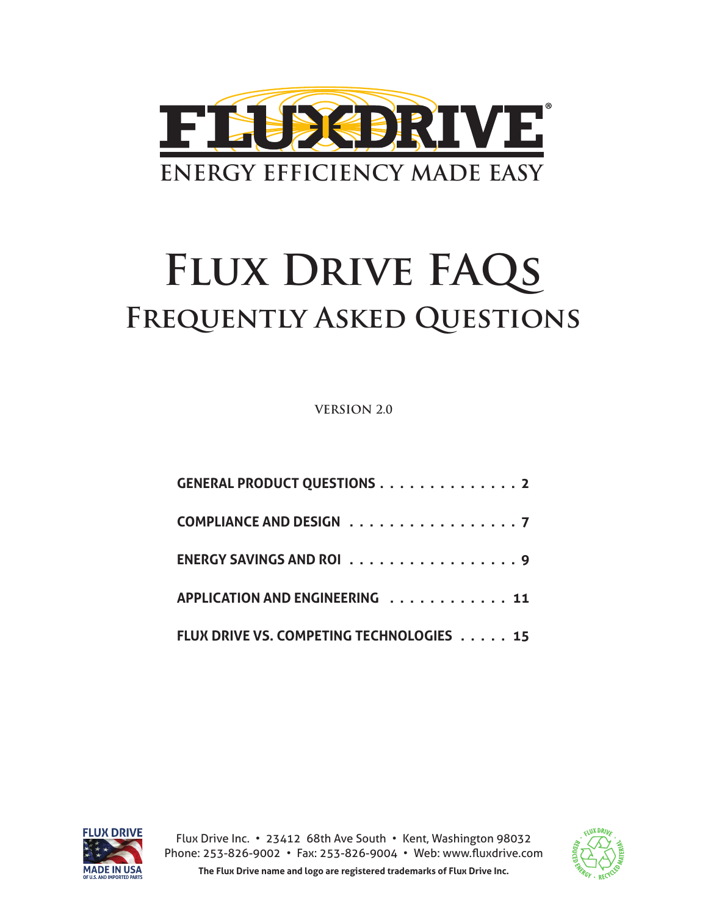

# **Flux Drive FAQs Frequently Asked Questions**

**VERSION 2.0** 

| <b>GENERAL PRODUCT QUESTIONS 2</b>       |  |
|------------------------------------------|--|
| COMPLIANCE AND DESIGN 7                  |  |
| ENERGY SAVINGS AND ROI 9                 |  |
| APPLICATION AND ENGINEERING 11           |  |
| FLUX DRIVE VS. COMPETING TECHNOLOGIES 15 |  |



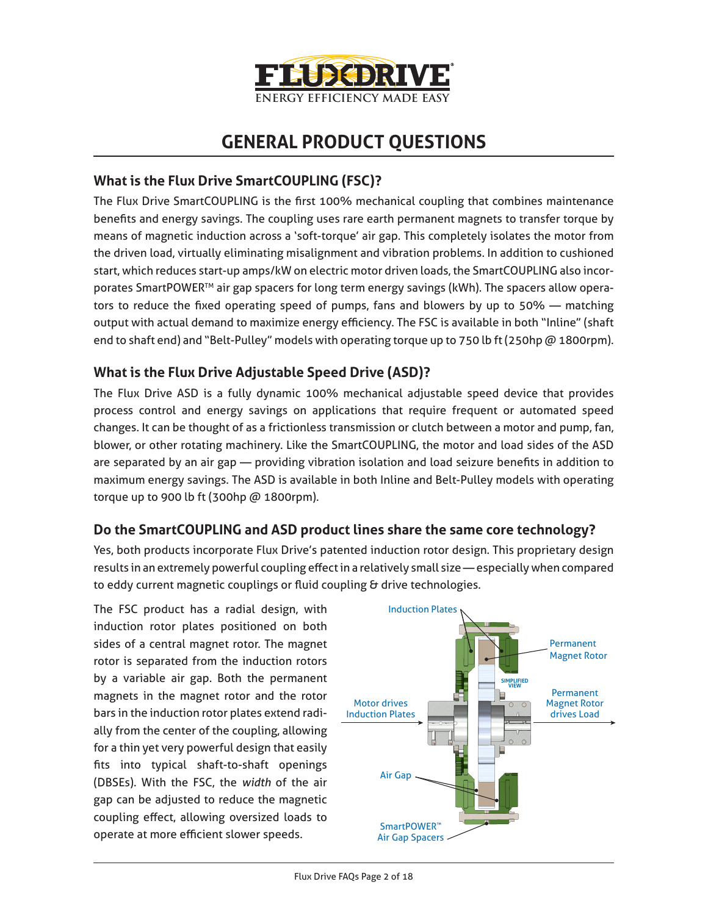

# **GENERAL PRODUCT QUESTIONS**

### **What is the Flux Drive SmartCOUPLING (FSC)?**

The Flux Drive SmartCOUPLING is the first 100% mechanical coupling that combines maintenance benefits and energy savings. The coupling uses rare earth permanent magnets to transfer torque by means of magnetic induction across a 'soft-torque' air gap. This completely isolates the motor from the driven load, virtually eliminating misalignment and vibration problems. In addition to cushioned start, which reduces start-up amps/kW on electric motor driven loads, the SmartCOUPLING also incorporates SmartPOWER™ air gap spacers for long term energy savings (kWh). The spacers allow operators to reduce the fixed operating speed of pumps, fans and blowers by up to 50% — matching output with actual demand to maximize energy efficiency. The FSC is available in both "Inline" (shaft end to shaft end) and "Belt-Pulley" models with operating torque up to 750 lb ft (250hp @ 1800rpm).

## **What is the Flux Drive Adjustable Speed Drive (ASD)?**

The Flux Drive ASD is a fully dynamic 100% mechanical adjustable speed device that provides process control and energy savings on applications that require frequent or automated speed changes. It can be thought of as a frictionless transmission or clutch between a motor and pump, fan, blower, or other rotating machinery. Like the SmartCOUPLING, the motor and load sides of the ASD are separated by an air gap — providing vibration isolation and load seizure benefits in addition to maximum energy savings. The ASD is available in both Inline and Belt-Pulley models with operating torque up to 900 lb ft (300hp @ 1800rpm).

#### **Do the SmartCOUPLING and ASD product lines share the same core technology?**

Yes, both products incorporate Flux Drive's patented induction rotor design. This proprietary design results in an extremely powerful coupling effect in a relatively small size — especially when compared to eddy current magnetic couplings or fluid coupling & drive technologies.

The FSC product has a radial design, with induction rotor plates positioned on both sides of a central magnet rotor. The magnet rotor is separated from the induction rotors by a variable air gap. Both the permanent magnets in the magnet rotor and the rotor bars in the induction rotor plates extend radially from the center of the coupling, allowing for a thin yet very powerful design that easily fits into typical shaft-to-shaft openings (DBSEs). With the FSC, the *width* of the air gap can be adjusted to reduce the magnetic coupling effect, allowing oversized loads to operate at more efficient slower speeds.

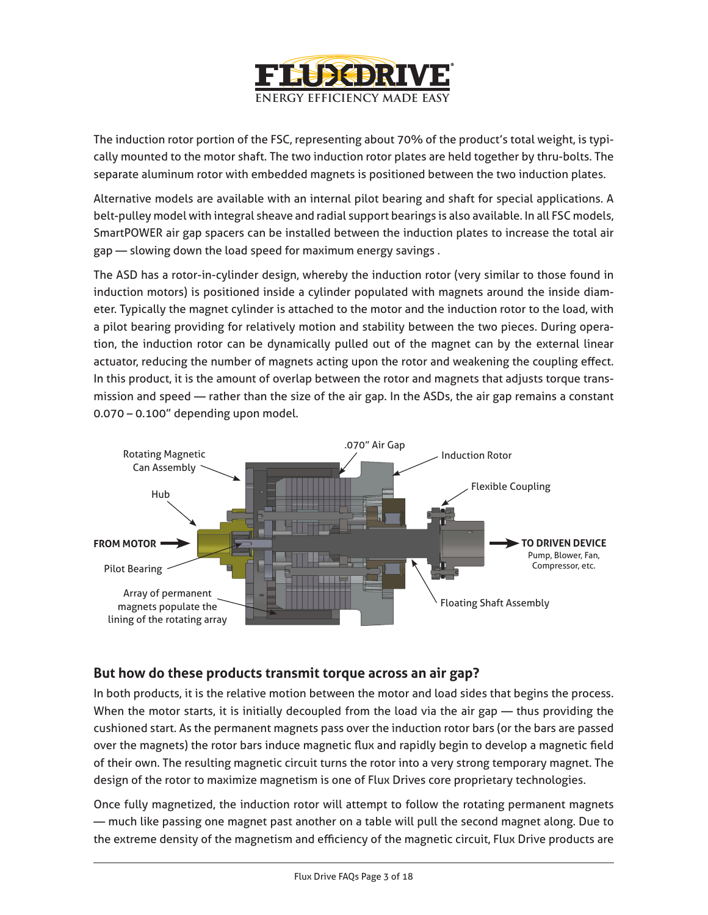

The induction rotor portion of the FSC, representing about 70% of the product's total weight, is typically mounted to the motor shaft. The two induction rotor plates are held together by thru-bolts. The separate aluminum rotor with embedded magnets is positioned between the two induction plates.

Alternative models are available with an internal pilot bearing and shaft for special applications. A belt-pulley model with integral sheave and radial support bearings is also available. In all FSC models, SmartPOWER air gap spacers can be installed between the induction plates to increase the total air gap — slowing down the load speed for maximum energy savings .

The ASD has a rotor-in-cylinder design, whereby the induction rotor (very similar to those found in induction motors) is positioned inside a cylinder populated with magnets around the inside diameter. Typically the magnet cylinder is attached to the motor and the induction rotor to the load, with a pilot bearing providing for relatively motion and stability between the two pieces. During operation, the induction rotor can be dynamically pulled out of the magnet can by the external linear actuator, reducing the number of magnets acting upon the rotor and weakening the coupling effect. In this product, it is the amount of overlap between the rotor and magnets that adjusts torque transmission and speed — rather than the size of the air gap. In the ASDs, the air gap remains a constant 0.070 – 0.100" depending upon model.



#### **But how do these products transmit torque across an air gap?**

In both products, it is the relative motion between the motor and load sides that begins the process. When the motor starts, it is initially decoupled from the load via the air gap  $-$  thus providing the cushioned start. As the permanent magnets pass over the induction rotor bars (or the bars are passed over the magnets) the rotor bars induce magnetic flux and rapidly begin to develop a magnetic field of their own. The resulting magnetic circuit turns the rotor into a very strong temporary magnet. The design of the rotor to maximize magnetism is one of Flux Drives core proprietary technologies.

Once fully magnetized, the induction rotor will attempt to follow the rotating permanent magnets — much like passing one magnet past another on a table will pull the second magnet along. Due to the extreme density of the magnetism and efficiency of the magnetic circuit, Flux Drive products are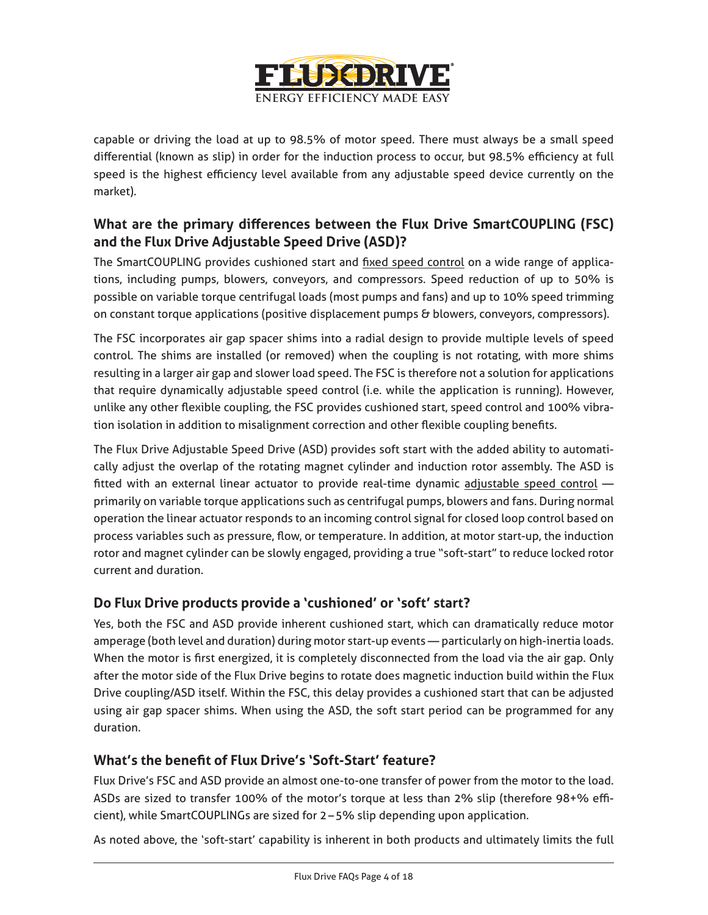

capable or driving the load at up to 98.5% of motor speed. There must always be a small speed differential (known as slip) in order for the induction process to occur, but 98.5% efficiency at full speed is the highest efficiency level available from any adjustable speed device currently on the market).

# **What are the primary differences between the Flux Drive SmartCOUPLING (FSC) and the Flux Drive Adjustable Speed Drive (ASD)?**

The SmartCOUPLING provides cushioned start and fixed speed control on a wide range of applications, including pumps, blowers, conveyors, and compressors. Speed reduction of up to 50% is possible on variable torque centrifugal loads (most pumps and fans) and up to 10% speed trimming on constant torque applications (positive displacement pumps & blowers, conveyors, compressors).

The FSC incorporates air gap spacer shims into a radial design to provide multiple levels of speed control. The shims are installed (or removed) when the coupling is not rotating, with more shims resulting in a larger air gap and slower load speed. The FSC is therefore not a solution for applications that require dynamically adjustable speed control (i.e. while the application is running). However, unlike any other flexible coupling, the FSC provides cushioned start, speed control and 100% vibration isolation in addition to misalignment correction and other flexible coupling benefits.

The Flux Drive Adjustable Speed Drive (ASD) provides soft start with the added ability to automatically adjust the overlap of the rotating magnet cylinder and induction rotor assembly. The ASD is fitted with an external linear actuator to provide real-time dynamic adjustable speed control primarily on variable torque applications such as centrifugal pumps, blowers and fans. During normal operation the linear actuator responds to an incoming control signal for closed loop control based on process variables such as pressure, flow, or temperature. In addition, at motor start-up, the induction rotor and magnet cylinder can be slowly engaged, providing a true "soft-start" to reduce locked rotor current and duration.

#### **Do Flux Drive products provide a 'cushioned' or 'soft' start?**

Yes, both the FSC and ASD provide inherent cushioned start, which can dramatically reduce motor amperage (both level and duration) during motor start-up events — particularly on high-inertia loads. When the motor is first energized, it is completely disconnected from the load via the air gap. Only after the motor side of the Flux Drive begins to rotate does magnetic induction build within the Flux Drive coupling/ASD itself. Within the FSC, this delay provides a cushioned start that can be adjusted using air gap spacer shims. When using the ASD, the soft start period can be programmed for any duration.

#### **What's the benefit of Flux Drive's 'Soft-Start' feature?**

Flux Drive's FSC and ASD provide an almost one-to-one transfer of power from the motor to the load. ASDs are sized to transfer 100% of the motor's torque at less than 2% slip (therefore 98+% efficient), while SmartCOUPLINGs are sized for 2–5% slip depending upon application.

As noted above, the 'soft-start' capability is inherent in both products and ultimately limits the full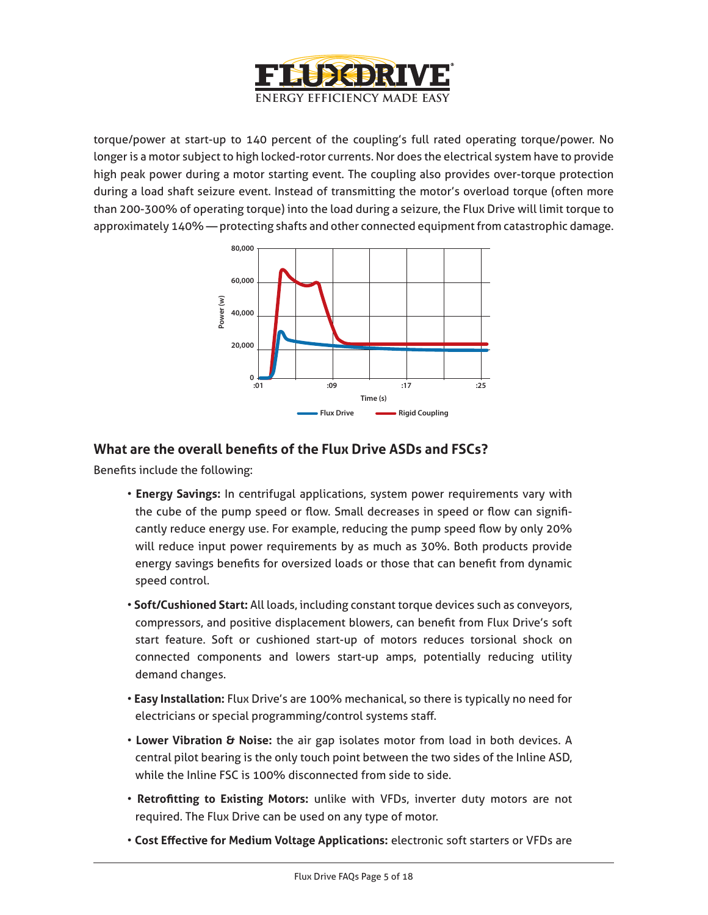

torque/power at start-up to 140 percent of the coupling's full rated operating torque/power. No longer is a motor subject to high locked-rotor currents. Nor does the electrical system have to provide high peak power during a motor starting event. The coupling also provides over-torque protection during a load shaft seizure event. Instead of transmitting the motor's overload torque (often more than 200-300% of operating torque) into the load during a seizure, the Flux Drive will limit torque to approximately 140% — protecting shafts and other connected equipment from catastrophic damage.



#### **What are the overall benefits of the Flux Drive ASDs and FSCs?**

Benefits include the following:

- **Energy Savings:** In centrifugal applications, system power requirements vary with the cube of the pump speed or flow. Small decreases in speed or flow can significantly reduce energy use. For example, reducing the pump speed flow by only 20% will reduce input power requirements by as much as 30%. Both products provide energy savings benefits for oversized loads or those that can benefit from dynamic speed control.
- **Soft/Cushioned Start:** All loads, including constant torque devices such as conveyors, compressors, and positive displacement blowers, can benefit from Flux Drive's soft start feature. Soft or cushioned start-up of motors reduces torsional shock on connected components and lowers start-up amps, potentially reducing utility demand changes.
- **Easy Installation:** Flux Drive's are 100% mechanical, so there is typically no need for electricians or special programming/control systems staff.
- **Lower Vibration & Noise:** the air gap isolates motor from load in both devices. A central pilot bearing is the only touch point between the two sides of the Inline ASD, while the Inline FSC is 100% disconnected from side to side.
- **Retrofitting to Existing Motors:** unlike with VFDs, inverter duty motors are not required. The Flux Drive can be used on any type of motor.
- **Cost Effective for Medium Voltage Applications:** electronic soft starters or VFDs are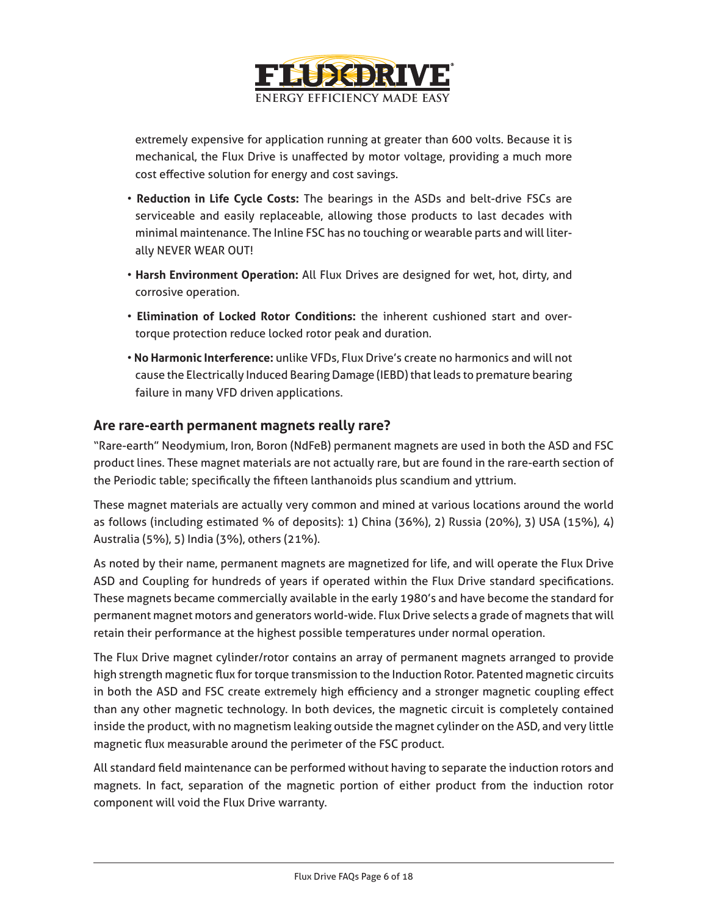

extremely expensive for application running at greater than 600 volts. Because it is mechanical, the Flux Drive is unaffected by motor voltage, providing a much more cost effective solution for energy and cost savings.

- **Reduction in Life Cycle Costs:** The bearings in the ASDs and belt-drive FSCs are serviceable and easily replaceable, allowing those products to last decades with minimal maintenance. The Inline FSC has no touching or wearable parts and will literally NEVER WEAR OUT!
- **Harsh Environment Operation:** All Flux Drives are designed for wet, hot, dirty, and corrosive operation.
- **Elimination of Locked Rotor Conditions:** the inherent cushioned start and overtorque protection reduce locked rotor peak and duration.
- **No Harmonic Interference:** unlike VFDs, Flux Drive's create no harmonics and will not cause the Electrically Induced Bearing Damage (IEBD) that leads to premature bearing failure in many VFD driven applications.

#### **Are rare-earth permanent magnets really rare?**

"Rare-earth" Neodymium, Iron, Boron (NdFeB) permanent magnets are used in both the ASD and FSC product lines. These magnet materials are not actually rare, but are found in the rare-earth section of the Periodic table; specifically the fifteen lanthanoids plus scandium and yttrium.

These magnet materials are actually very common and mined at various locations around the world as follows (including estimated % of deposits): 1) China (36%), 2) Russia (20%), 3) USA (15%), 4) Australia (5%), 5) India (3%), others (21%).

As noted by their name, permanent magnets are magnetized for life, and will operate the Flux Drive ASD and Coupling for hundreds of years if operated within the Flux Drive standard specifications. These magnets became commercially available in the early 1980's and have become the standard for permanent magnet motors and generators world-wide. Flux Drive selects a grade of magnets that will retain their performance at the highest possible temperatures under normal operation.

The Flux Drive magnet cylinder/rotor contains an array of permanent magnets arranged to provide high strength magnetic flux for torque transmission to the Induction Rotor. Patented magnetic circuits in both the ASD and FSC create extremely high efficiency and a stronger magnetic coupling effect than any other magnetic technology. In both devices, the magnetic circuit is completely contained inside the product, with no magnetism leaking outside the magnet cylinder on the ASD, and very little magnetic flux measurable around the perimeter of the FSC product.

All standard field maintenance can be performed without having to separate the induction rotors and magnets. In fact, separation of the magnetic portion of either product from the induction rotor component will void the Flux Drive warranty.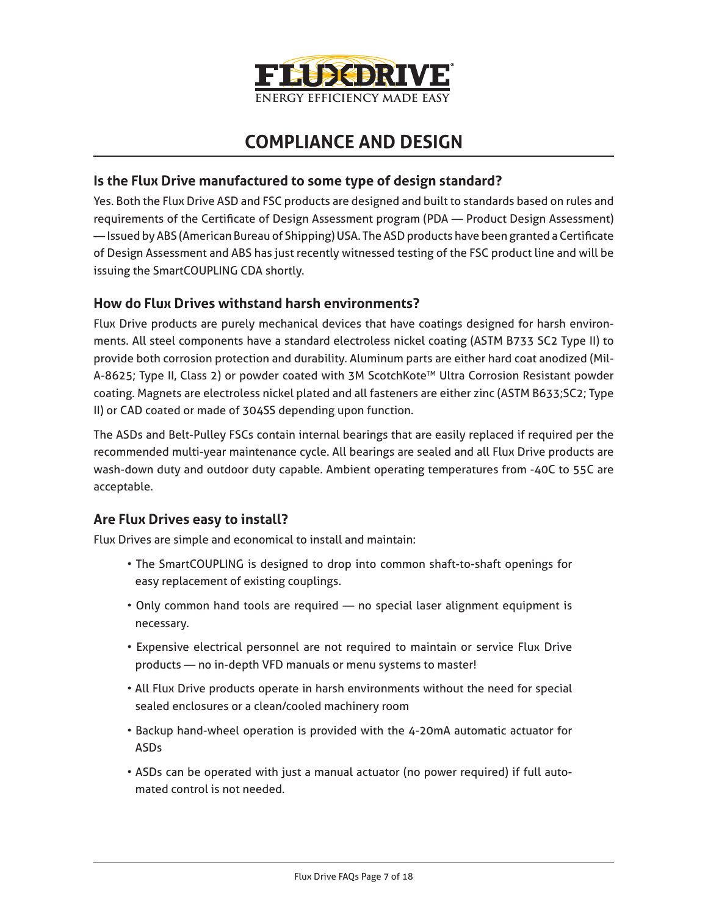

# **COMPLIANCE AND DESIGN**

#### **Is the Flux Drive manufactured to some type of design standard?**

Yes. Both the Flux Drive ASD and FSC products are designed and built to standards based on rules and requirements of the Certificate of Design Assessment program (PDA — Product Design Assessment) — Issued by ABS (American Bureau of Shipping) USA. The ASD products have been granted a Certificate of Design Assessment and ABS has just recently witnessed testing of the FSC product line and will be issuing the SmartCOUPLING CDA shortly.

#### **How do Flux Drives withstand harsh environments?**

Flux Drive products are purely mechanical devices that have coatings designed for harsh environments. All steel components have a standard electroless nickel coating (ASTM B733 SC2 Type II) to provide both corrosion protection and durability. Aluminum parts are either hard coat anodized (Mil-A-8625; Type II, Class 2) or powder coated with 3M ScotchKote<sup>™</sup> Ultra Corrosion Resistant powder coating. Magnets are electroless nickel plated and all fasteners are either zinc (ASTM B633;SC2; Type II) or CAD coated or made of 304SS depending upon function.

The ASDs and Belt-Pulley FSCs contain internal bearings that are easily replaced if required per the recommended multi-year maintenance cycle. All bearings are sealed and all Flux Drive products are wash-down duty and outdoor duty capable. Ambient operating temperatures from -40C to 55C are acceptable.

#### **Are Flux Drives easy to install?**

Flux Drives are simple and economical to install and maintain:

- The SmartCOUPLING is designed to drop into common shaft-to-shaft openings for easy replacement of existing couplings.
- Only common hand tools are required no special laser alignment equipment is necessary.
- Expensive electrical personnel are not required to maintain or service Flux Drive products — no in-depth VFD manuals or menu systems to master!
- All Flux Drive products operate in harsh environments without the need for special sealed enclosures or a clean/cooled machinery room
- Backup hand-wheel operation is provided with the 4-20mA automatic actuator for ASDs
- ASDs can be operated with just a manual actuator (no power required) if full automated control is not needed.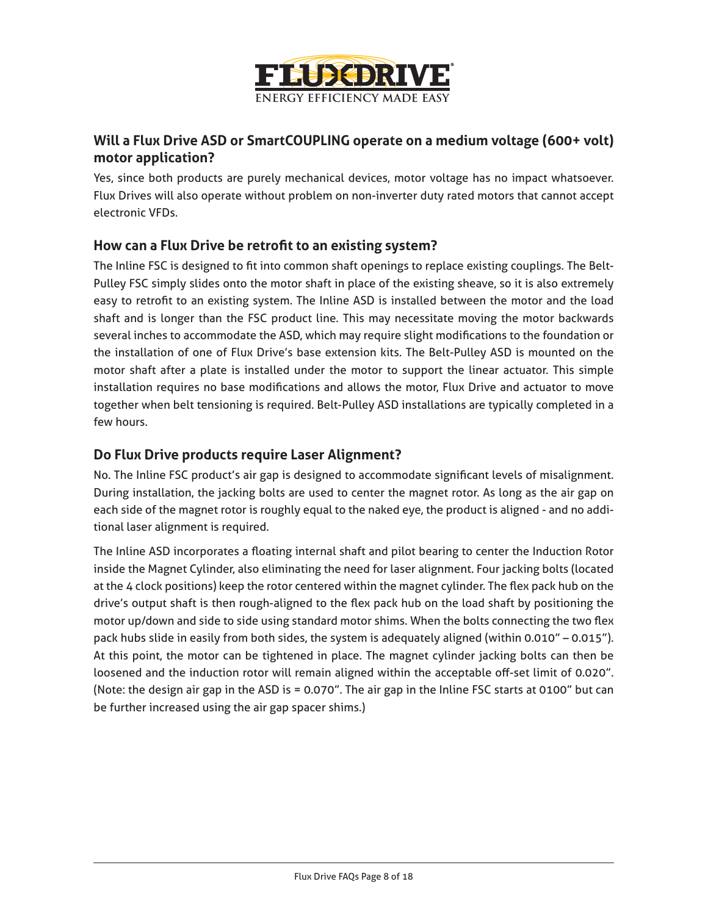

## **Will a Flux Drive ASD or SmartCOUPLING operate on a medium voltage (600+ volt) motor application?**

Yes, since both products are purely mechanical devices, motor voltage has no impact whatsoever. Flux Drives will also operate without problem on non-inverter duty rated motors that cannot accept electronic VFDs.

#### **How can a Flux Drive be retrofit to an existing system?**

The Inline FSC is designed to fit into common shaft openings to replace existing couplings. The Belt-Pulley FSC simply slides onto the motor shaft in place of the existing sheave, so it is also extremely easy to retrofit to an existing system. The Inline ASD is installed between the motor and the load shaft and is longer than the FSC product line. This may necessitate moving the motor backwards several inches to accommodate the ASD, which may require slight modifications to the foundation or the installation of one of Flux Drive's base extension kits. The Belt-Pulley ASD is mounted on the motor shaft after a plate is installed under the motor to support the linear actuator. This simple installation requires no base modifications and allows the motor, Flux Drive and actuator to move together when belt tensioning is required. Belt-Pulley ASD installations are typically completed in a few hours.

#### **Do Flux Drive products require Laser Alignment?**

No. The Inline FSC product's air gap is designed to accommodate significant levels of misalignment. During installation, the jacking bolts are used to center the magnet rotor. As long as the air gap on each side of the magnet rotor is roughly equal to the naked eye, the product is aligned - and no additional laser alignment is required.

The Inline ASD incorporates a floating internal shaft and pilot bearing to center the Induction Rotor inside the Magnet Cylinder, also eliminating the need for laser alignment. Four jacking bolts (located at the 4 clock positions) keep the rotor centered within the magnet cylinder. The flex pack hub on the drive's output shaft is then rough-aligned to the flex pack hub on the load shaft by positioning the motor up/down and side to side using standard motor shims. When the bolts connecting the two flex pack hubs slide in easily from both sides, the system is adequately aligned (within 0.010" – 0.015"). At this point, the motor can be tightened in place. The magnet cylinder jacking bolts can then be loosened and the induction rotor will remain aligned within the acceptable off-set limit of 0.020". (Note: the design air gap in the ASD is = 0.070". The air gap in the Inline FSC starts at 0100" but can be further increased using the air gap spacer shims.)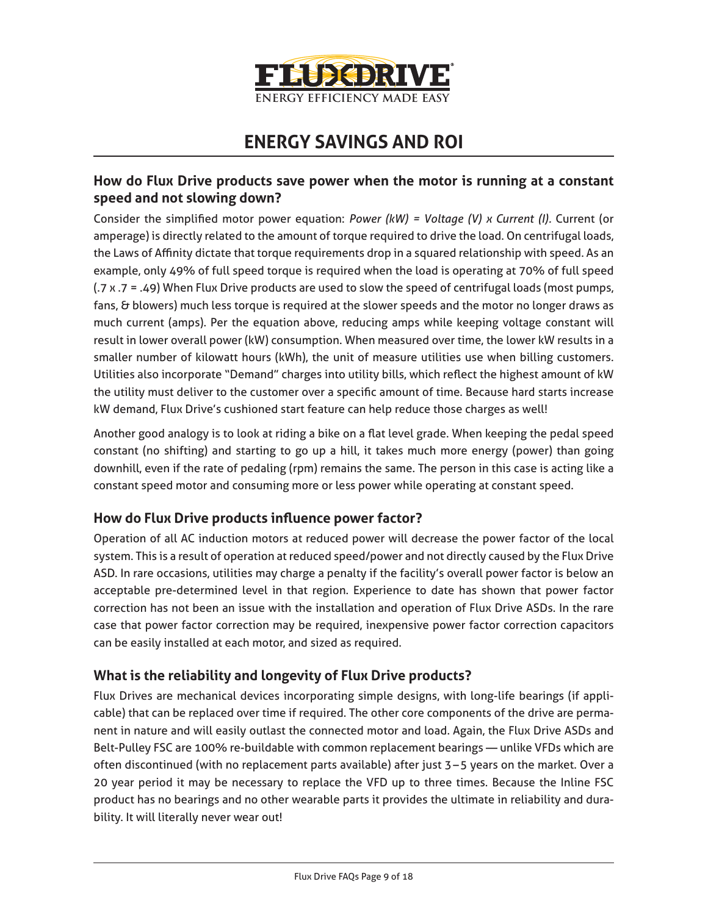

# **ENERGY SAVINGS AND ROI**

#### **How do Flux Drive products save power when the motor is running at a constant speed and not slowing down?**

Consider the simplified motor power equation: *Power (kW) = Voltage (V) x Current (I).* Current (or amperage) is directly related to the amount of torque required to drive the load. On centrifugal loads, the Laws of Affinity dictate that torque requirements drop in a squared relationship with speed. As an example, only 49% of full speed torque is required when the load is operating at 70% of full speed (.7 x .7 = .49) When Flux Drive products are used to slow the speed of centrifugal loads (most pumps, fans, & blowers) much less torque is required at the slower speeds and the motor no longer draws as much current (amps). Per the equation above, reducing amps while keeping voltage constant will result in lower overall power (kW) consumption. When measured over time, the lower kW results in a smaller number of kilowatt hours (kWh), the unit of measure utilities use when billing customers. Utilities also incorporate "Demand" charges into utility bills, which reflect the highest amount of kW the utility must deliver to the customer over a specific amount of time. Because hard starts increase kW demand, Flux Drive's cushioned start feature can help reduce those charges as well!

Another good analogy is to look at riding a bike on a flat level grade. When keeping the pedal speed constant (no shifting) and starting to go up a hill, it takes much more energy (power) than going downhill, even if the rate of pedaling (rpm) remains the same. The person in this case is acting like a constant speed motor and consuming more or less power while operating at constant speed.

#### **How do Flux Drive products influence power factor?**

Operation of all AC induction motors at reduced power will decrease the power factor of the local system. This is a result of operation at reduced speed/power and not directly caused by the Flux Drive ASD. In rare occasions, utilities may charge a penalty if the facility's overall power factor is below an acceptable pre-determined level in that region. Experience to date has shown that power factor correction has not been an issue with the installation and operation of Flux Drive ASDs. In the rare case that power factor correction may be required, inexpensive power factor correction capacitors can be easily installed at each motor, and sized as required.

#### **What is the reliability and longevity of Flux Drive products?**

Flux Drives are mechanical devices incorporating simple designs, with long-life bearings (if applicable) that can be replaced over time if required. The other core components of the drive are permanent in nature and will easily outlast the connected motor and load. Again, the Flux Drive ASDs and Belt-Pulley FSC are 100% re-buildable with common replacement bearings — unlike VFDs which are often discontinued (with no replacement parts available) after just 3–5 years on the market. Over a 20 year period it may be necessary to replace the VFD up to three times. Because the Inline FSC product has no bearings and no other wearable parts it provides the ultimate in reliability and durability. It will literally never wear out!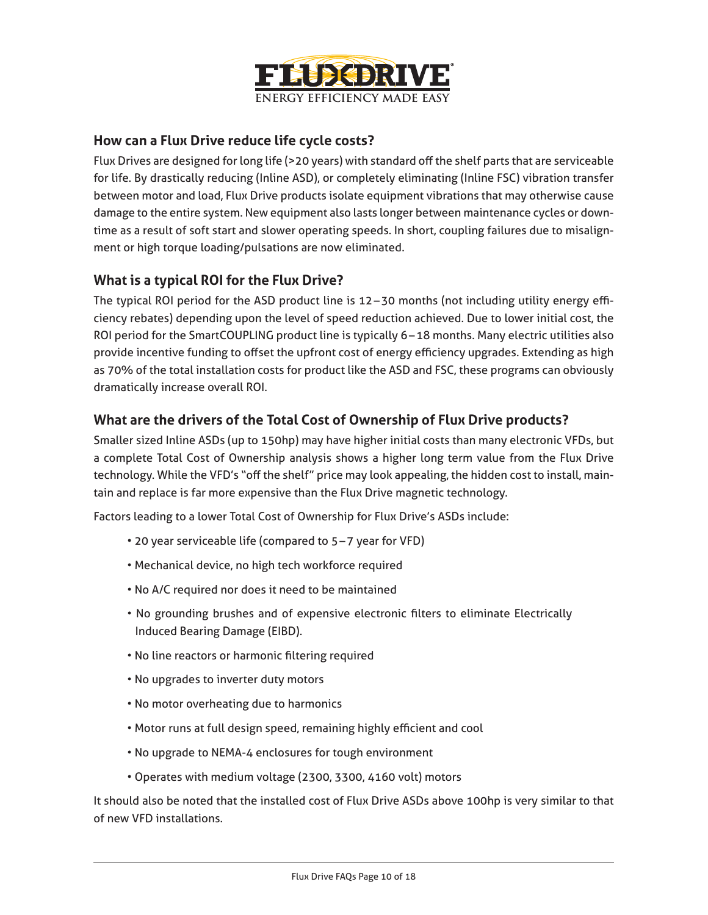

#### **How can a Flux Drive reduce life cycle costs?**

Flux Drives are designed for long life (>20 years) with standard off the shelf parts that are serviceable for life. By drastically reducing (Inline ASD), or completely eliminating (Inline FSC) vibration transfer between motor and load, Flux Drive products isolate equipment vibrations that may otherwise cause damage to the entire system. New equipment also lasts longer between maintenance cycles or downtime as a result of soft start and slower operating speeds. In short, coupling failures due to misalignment or high torque loading/pulsations are now eliminated.

#### **What is a typical ROI for the Flux Drive?**

The typical ROI period for the ASD product line is 12–30 months (not including utility energy efficiency rebates) depending upon the level of speed reduction achieved. Due to lower initial cost, the ROI period for the SmartCOUPLING product line is typically 6–18 months. Many electric utilities also provide incentive funding to offset the upfront cost of energy efficiency upgrades. Extending as high as 70% of the total installation costs for product like the ASD and FSC, these programs can obviously dramatically increase overall ROI.

#### **What are the drivers of the Total Cost of Ownership of Flux Drive products?**

Smaller sized Inline ASDs (up to 150hp) may have higher initial costs than many electronic VFDs, but a complete Total Cost of Ownership analysis shows a higher long term value from the Flux Drive technology. While the VFD's "off the shelf" price may look appealing, the hidden cost to install, maintain and replace is far more expensive than the Flux Drive magnetic technology.

Factors leading to a lower Total Cost of Ownership for Flux Drive's ASDs include:

- 20 year serviceable life (compared to 5–7 year for VFD)
- Mechanical device, no high tech workforce required
- No A/C required nor does it need to be maintained
- No grounding brushes and of expensive electronic filters to eliminate Electrically Induced Bearing Damage (EIBD).
- No line reactors or harmonic filtering required
- No upgrades to inverter duty motors
- No motor overheating due to harmonics
- Motor runs at full design speed, remaining highly efficient and cool
- No upgrade to NEMA-4 enclosures for tough environment
- Operates with medium voltage (2300, 3300, 4160 volt) motors

It should also be noted that the installed cost of Flux Drive ASDs above 100hp is very similar to that of new VFD installations.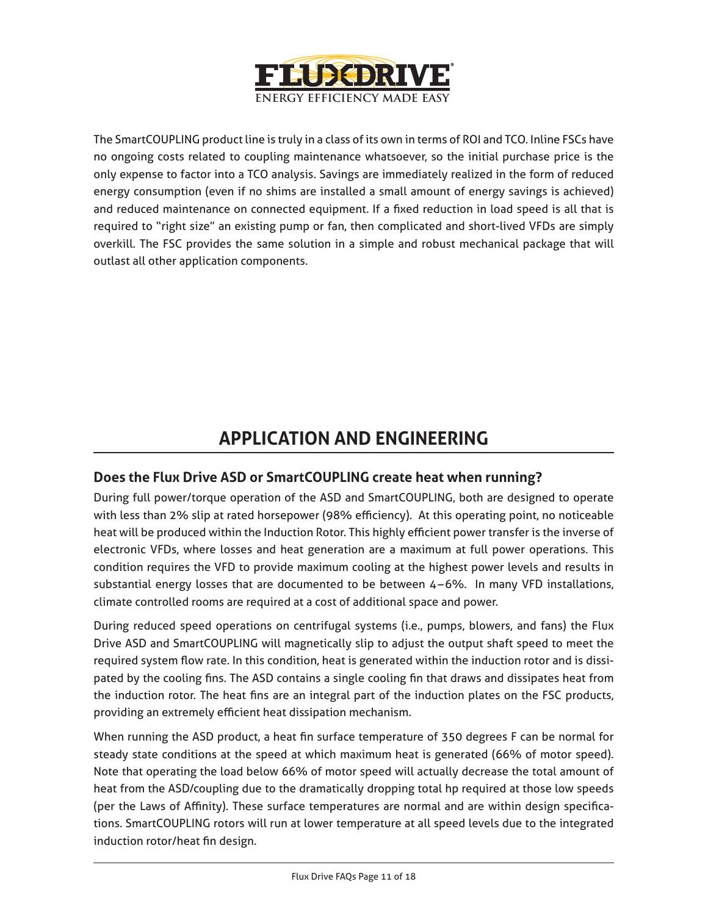

The SmartCOUPLING product line is truly in a class of its own in terms of ROI and TCO. Inline FSCs have no ongoing costs related to coupling maintenance whatsoever, so the initial purchase price is the only expense to factor into a TCO analysis. Savings are immediately realized in the form of reduced energy consumption (even if no shims are installed a small amount of energy savings is achieved) and reduced maintenance on connected equipment. If a fixed reduction in load speed is all that is required to "right size" an existing pump or fan, then complicated and short-lived VFDs are simply overkill. The FSC provides the same solution in a simple and robust mechanical package that will outlast all other application components.

# **APPLICATION AND ENGINEERING**

#### **Does the Flux Drive ASD or SmartCOUPLING create heat when running?**

During full power/torque operation of the ASD and SmartCOUPLING, both are designed to operate with less than 2% slip at rated horsepower (98% efficiency). At this operating point, no noticeable heat will be produced within the Induction Rotor. This highly efficient power transfer is the inverse of electronic VFDs, where losses and heat generation are a maximum at full power operations. This condition requires the VFD to provide maximum cooling at the highest power levels and results in substantial energy losses that are documented to be between 4 –6%. In many VFD installations, climate controlled rooms are required at a cost of additional space and power.

During reduced speed operations on centrifugal systems (i.e., pumps, blowers, and fans) the Flux Drive ASD and SmartCOUPLING will magnetically slip to adjust the output shaft speed to meet the required system flow rate. In this condition, heat is generated within the induction rotor and is dissipated by the cooling fins. The ASD contains a single cooling fin that draws and dissipates heat from the induction rotor. The heat fins are an integral part of the induction plates on the FSC products, providing an extremely efficient heat dissipation mechanism.

When running the ASD product, a heat fin surface temperature of 350 degrees F can be normal for steady state conditions at the speed at which maximum heat is generated (66% of motor speed). Note that operating the load below 66% of motor speed will actually decrease the total amount of heat from the ASD/coupling due to the dramatically dropping total hp required at those low speeds (per the Laws of Affinity). These surface temperatures are normal and are within design specifications. SmartCOUPLING rotors will run at lower temperature at all speed levels due to the integrated induction rotor/heat fin design.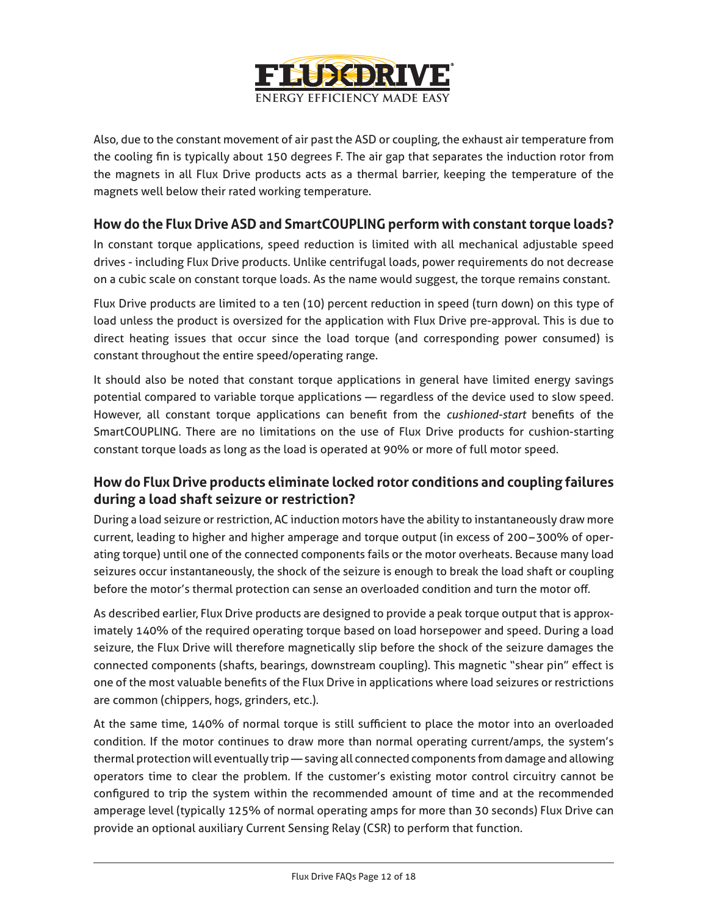

Also, due to the constant movement of air past the ASD or coupling, the exhaust air temperature from the cooling fin is typically about 150 degrees F. The air gap that separates the induction rotor from the magnets in all Flux Drive products acts as a thermal barrier, keeping the temperature of the magnets well below their rated working temperature.

#### **How do the Flux Drive ASD and SmartCOUPLING perform with constant torque loads?**

In constant torque applications, speed reduction is limited with all mechanical adjustable speed drives - including Flux Drive products. Unlike centrifugal loads, power requirements do not decrease on a cubic scale on constant torque loads. As the name would suggest, the torque remains constant.

Flux Drive products are limited to a ten (10) percent reduction in speed (turn down) on this type of load unless the product is oversized for the application with Flux Drive pre-approval. This is due to direct heating issues that occur since the load torque (and corresponding power consumed) is constant throughout the entire speed/operating range.

It should also be noted that constant torque applications in general have limited energy savings potential compared to variable torque applications — regardless of the device used to slow speed. However, all constant torque applications can benefit from the *cushioned-start* benefits of the SmartCOUPLING. There are no limitations on the use of Flux Drive products for cushion-starting constant torque loads as long as the load is operated at 90% or more of full motor speed.

#### **How do Flux Drive products eliminate locked rotor conditions and coupling failures during a load shaft seizure or restriction?**

During a load seizure or restriction, AC induction motors have the ability to instantaneously draw more current, leading to higher and higher amperage and torque output (in excess of 200–300% of operating torque) until one of the connected components fails or the motor overheats. Because many load seizures occur instantaneously, the shock of the seizure is enough to break the load shaft or coupling before the motor's thermal protection can sense an overloaded condition and turn the motor off.

As described earlier, Flux Drive products are designed to provide a peak torque output that is approximately 140% of the required operating torque based on load horsepower and speed. During a load seizure, the Flux Drive will therefore magnetically slip before the shock of the seizure damages the connected components (shafts, bearings, downstream coupling). This magnetic "shear pin" effect is one of the most valuable benefits of the Flux Drive in applications where load seizures or restrictions are common (chippers, hogs, grinders, etc.).

At the same time, 140% of normal torque is still sufficient to place the motor into an overloaded condition. If the motor continues to draw more than normal operating current/amps, the system's thermal protection will eventually trip — saving all connected components from damage and allowing operators time to clear the problem. If the customer's existing motor control circuitry cannot be configured to trip the system within the recommended amount of time and at the recommended amperage level (typically 125% of normal operating amps for more than 30 seconds) Flux Drive can provide an optional auxiliary Current Sensing Relay (CSR) to perform that function.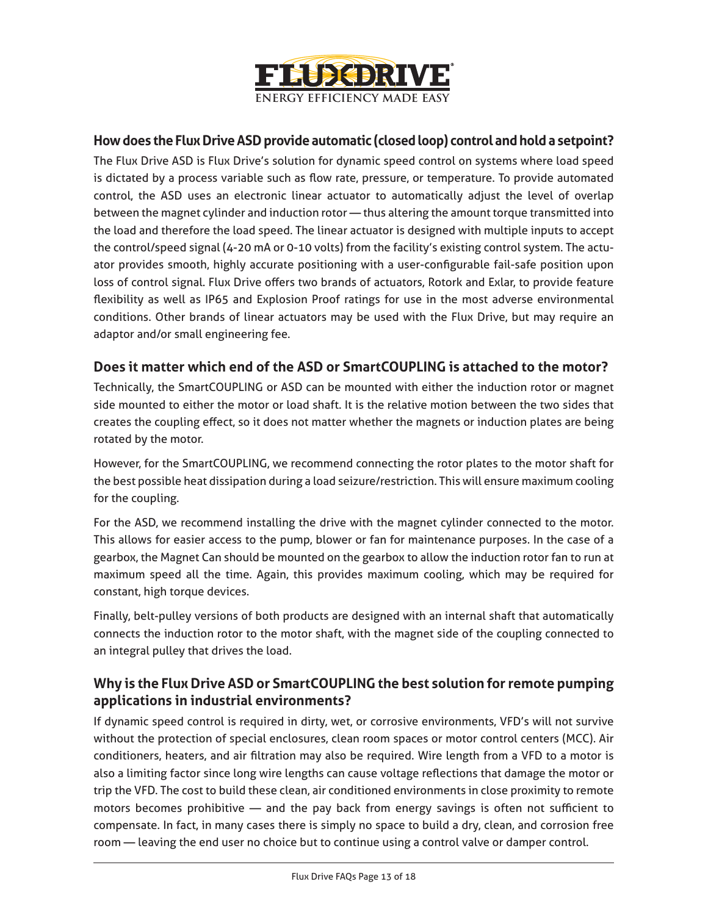

### **How does the Flux Drive ASD provide automatic (closed loop) control and hold a setpoint?**

The Flux Drive ASD is Flux Drive's solution for dynamic speed control on systems where load speed is dictated by a process variable such as flow rate, pressure, or temperature. To provide automated control, the ASD uses an electronic linear actuator to automatically adjust the level of overlap between the magnet cylinder and induction rotor — thus altering the amount torque transmitted into the load and therefore the load speed. The linear actuator is designed with multiple inputs to accept the control/speed signal (4-20 mA or 0-10 volts) from the facility's existing control system. The actuator provides smooth, highly accurate positioning with a user-configurable fail-safe position upon loss of control signal. Flux Drive offers two brands of actuators, Rotork and Exlar, to provide feature flexibility as well as IP65 and Explosion Proof ratings for use in the most adverse environmental conditions. Other brands of linear actuators may be used with the Flux Drive, but may require an adaptor and/or small engineering fee.

#### **Does it matter which end of the ASD or SmartCOUPLING is attached to the motor?**

Technically, the SmartCOUPLING or ASD can be mounted with either the induction rotor or magnet side mounted to either the motor or load shaft. It is the relative motion between the two sides that creates the coupling effect, so it does not matter whether the magnets or induction plates are being rotated by the motor.

However, for the SmartCOUPLING, we recommend connecting the rotor plates to the motor shaft for the best possible heat dissipation during a load seizure/restriction. This will ensure maximum cooling for the coupling.

For the ASD, we recommend installing the drive with the magnet cylinder connected to the motor. This allows for easier access to the pump, blower or fan for maintenance purposes. In the case of a gearbox, the Magnet Can should be mounted on the gearbox to allow the induction rotor fan to run at maximum speed all the time. Again, this provides maximum cooling, which may be required for constant, high torque devices.

Finally, belt-pulley versions of both products are designed with an internal shaft that automatically connects the induction rotor to the motor shaft, with the magnet side of the coupling connected to an integral pulley that drives the load.

#### **Why is the Flux Drive ASD or SmartCOUPLING the best solution for remote pumping applications in industrial environments?**

If dynamic speed control is required in dirty, wet, or corrosive environments, VFD's will not survive without the protection of special enclosures, clean room spaces or motor control centers (MCC). Air conditioners, heaters, and air filtration may also be required. Wire length from a VFD to a motor is also a limiting factor since long wire lengths can cause voltage reflections that damage the motor or trip the VFD. The cost to build these clean, air conditioned environments in close proximity to remote motors becomes prohibitive — and the pay back from energy savings is often not sufficient to compensate. In fact, in many cases there is simply no space to build a dry, clean, and corrosion free room — leaving the end user no choice but to continue using a control valve or damper control.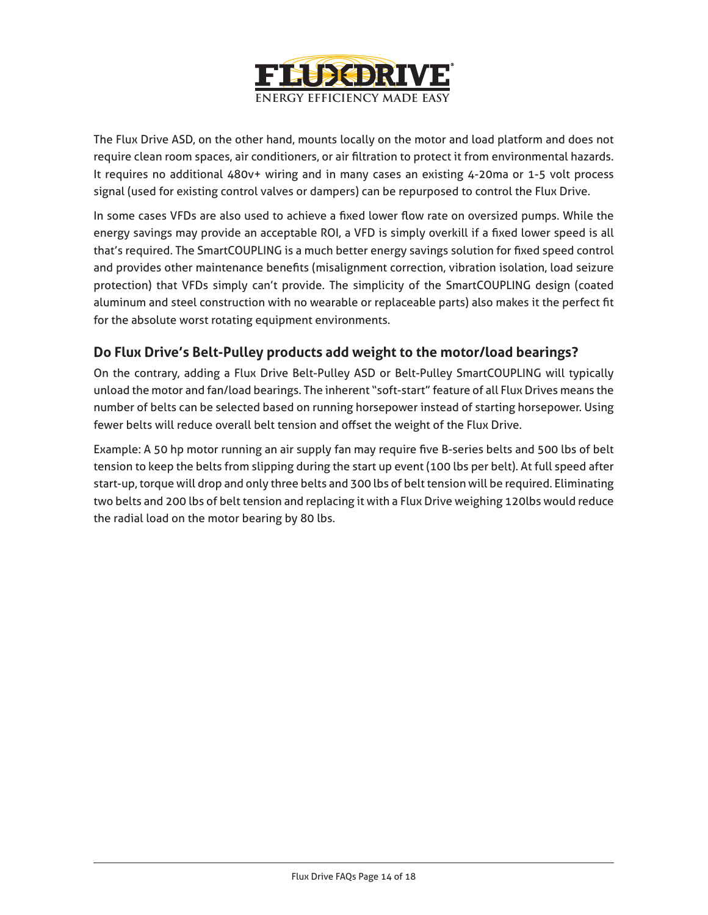

The Flux Drive ASD, on the other hand, mounts locally on the motor and load platform and does not require clean room spaces, air conditioners, or air filtration to protect it from environmental hazards. It requires no additional 480v+ wiring and in many cases an existing 4-20ma or 1-5 volt process signal (used for existing control valves or dampers) can be repurposed to control the Flux Drive.

In some cases VFDs are also used to achieve a fixed lower flow rate on oversized pumps. While the energy savings may provide an acceptable ROI, a VFD is simply overkill if a fixed lower speed is all that's required. The SmartCOUPLING is a much better energy savings solution for fixed speed control and provides other maintenance benefits (misalignment correction, vibration isolation, load seizure protection) that VFDs simply can't provide. The simplicity of the SmartCOUPLING design (coated aluminum and steel construction with no wearable or replaceable parts) also makes it the perfect fit for the absolute worst rotating equipment environments.

# **Do Flux Drive's Belt-Pulley products add weight to the motor/load bearings?**

On the contrary, adding a Flux Drive Belt-Pulley ASD or Belt-Pulley SmartCOUPLING will typically unload the motor and fan/load bearings. The inherent "soft-start" feature of all Flux Drives means the number of belts can be selected based on running horsepower instead of starting horsepower. Using fewer belts will reduce overall belt tension and offset the weight of the Flux Drive.

Example: A 50 hp motor running an air supply fan may require five B-series belts and 500 lbs of belt tension to keep the belts from slipping during the start up event (100 lbs per belt). At full speed after start-up, torque will drop and only three belts and 300 lbs of belt tension will be required. Eliminating two belts and 200 lbs of belt tension and replacing it with a Flux Drive weighing 120lbs would reduce the radial load on the motor bearing by 80 lbs.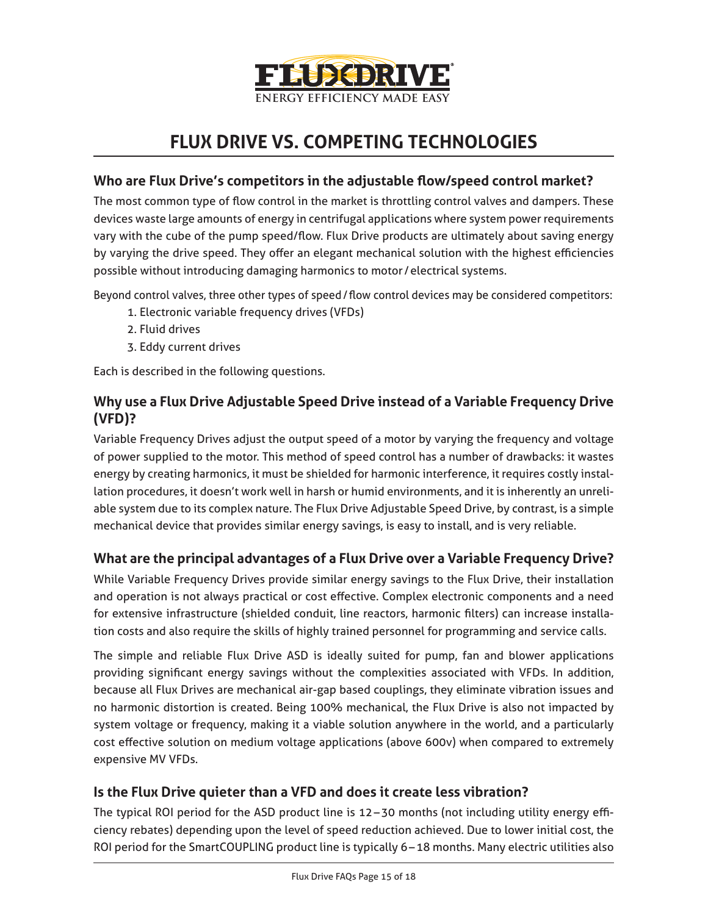

# **FLUX DRIVE VS. COMPETING TECHNOLOGIES**

#### **Who are Flux Drive's competitors in the adjustable flow/speed control market?**

The most common type of flow control in the market is throttling control valves and dampers. These devices waste large amounts of energy in centrifugal applications where system power requirements vary with the cube of the pump speed/flow. Flux Drive products are ultimately about saving energy by varying the drive speed. They offer an elegant mechanical solution with the highest efficiencies possible without introducing damaging harmonics to motor /electrical systems.

Beyond control valves, three other types of speed/flow control devices may be considered competitors:

- 1. Electronic variable frequency drives (VFDs)
- 2. Fluid drives
- 3. Eddy current drives

Each is described in the following questions.

## **Why use a Flux Drive Adjustable Speed Drive instead of a Variable Frequency Drive (VFD)?**

Variable Frequency Drives adjust the output speed of a motor by varying the frequency and voltage of power supplied to the motor. This method of speed control has a number of drawbacks: it wastes energy by creating harmonics, it must be shielded for harmonic interference, it requires costly installation procedures, it doesn't work well in harsh or humid environments, and it is inherently an unreliable system due to its complex nature. The Flux Drive Adjustable Speed Drive, by contrast, is a simple mechanical device that provides similar energy savings, is easy to install, and is very reliable.

#### **What are the principal advantages of a Flux Drive over a Variable Frequency Drive?**

While Variable Frequency Drives provide similar energy savings to the Flux Drive, their installation and operation is not always practical or cost effective. Complex electronic components and a need for extensive infrastructure (shielded conduit, line reactors, harmonic filters) can increase installation costs and also require the skills of highly trained personnel for programming and service calls.

The simple and reliable Flux Drive ASD is ideally suited for pump, fan and blower applications providing significant energy savings without the complexities associated with VFDs. In addition, because all Flux Drives are mechanical air-gap based couplings, they eliminate vibration issues and no harmonic distortion is created. Being 100% mechanical, the Flux Drive is also not impacted by system voltage or frequency, making it a viable solution anywhere in the world, and a particularly cost effective solution on medium voltage applications (above 600v) when compared to extremely expensive MV VFDs.

#### **Is the Flux Drive quieter than a VFD and does it create less vibration?**

The typical ROI period for the ASD product line is 12–30 months (not including utility energy efficiency rebates) depending upon the level of speed reduction achieved. Due to lower initial cost, the ROI period for the SmartCOUPLING product line is typically 6–18 months. Many electric utilities also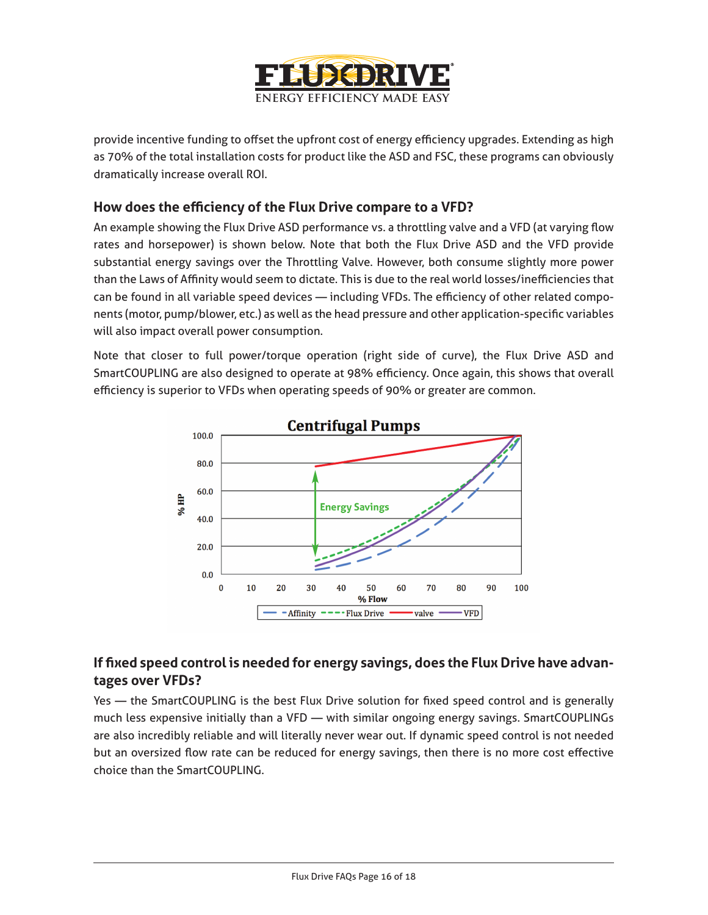

provide incentive funding to offset the upfront cost of energy efficiency upgrades. Extending as high as 70% of the total installation costs for product like the ASD and FSC, these programs can obviously dramatically increase overall ROI.

#### **How does the efficiency of the Flux Drive compare to a VFD?**

An example showing the Flux Drive ASD performance vs. a throttling valve and a VFD (at varying flow rates and horsepower) is shown below. Note that both the Flux Drive ASD and the VFD provide substantial energy savings over the Throttling Valve. However, both consume slightly more power than the Laws of Affinity would seem to dictate. This is due to the real world losses/inefficiencies that can be found in all variable speed devices — including VFDs. The efficiency of other related components (motor, pump/blower, etc.) as well as the head pressure and other application-specific variables will also impact overall power consumption.

Note that closer to full power/torque operation (right side of curve), the Flux Drive ASD and SmartCOUPLING are also designed to operate at 98% efficiency. Once again, this shows that overall efficiency is superior to VFDs when operating speeds of 90% or greater are common.



## **If fixed speed control is needed for energy savings, does the Flux Drive have advantages over VFDs?**

Yes — the SmartCOUPLING is the best Flux Drive solution for fixed speed control and is generally much less expensive initially than a VFD — with similar ongoing energy savings. SmartCOUPLINGs are also incredibly reliable and will literally never wear out. If dynamic speed control is not needed but an oversized flow rate can be reduced for energy savings, then there is no more cost effective choice than the SmartCOUPLING.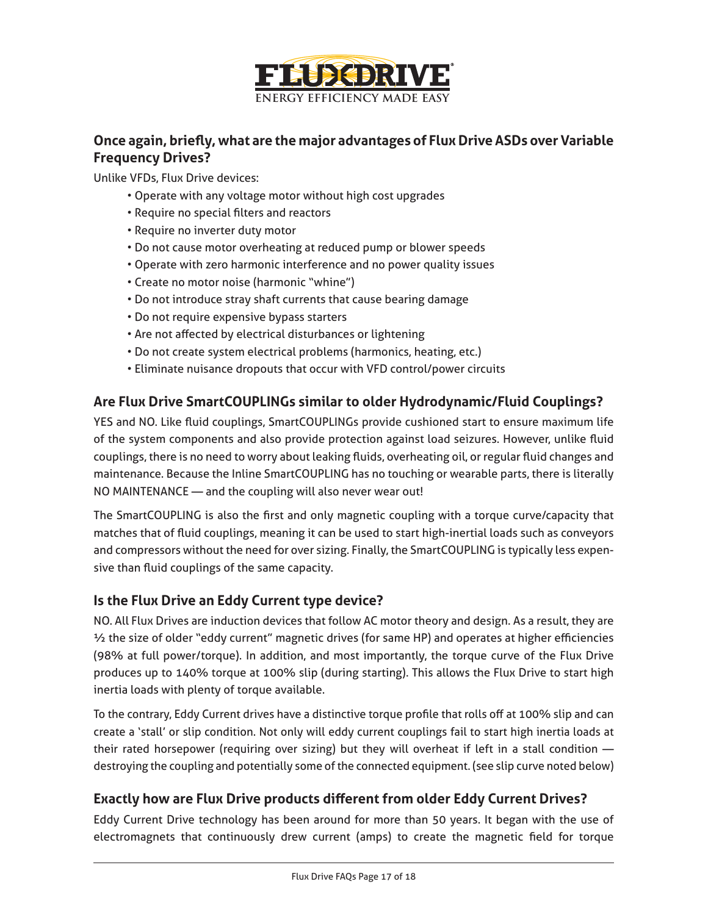

### **Once again, briefly, what are the major advantages of Flux Drive ASDs over Variable Frequency Drives?**

Unlike VFDs, Flux Drive devices:

- Operate with any voltage motor without high cost upgrades
- Require no special filters and reactors
- Require no inverter duty motor
- Do not cause motor overheating at reduced pump or blower speeds
- Operate with zero harmonic interference and no power quality issues
- Create no motor noise (harmonic "whine")
- Do not introduce stray shaft currents that cause bearing damage
- Do not require expensive bypass starters
- Are not affected by electrical disturbances or lightening
- Do not create system electrical problems (harmonics, heating, etc.)
- Eliminate nuisance dropouts that occur with VFD control/power circuits

#### **Are Flux Drive SmartCOUPLINGs similar to older Hydrodynamic/Fluid Couplings?**

YES and NO. Like fluid couplings, SmartCOUPLINGs provide cushioned start to ensure maximum life of the system components and also provide protection against load seizures. However, unlike fluid couplings, there is no need to worry about leaking fluids, overheating oil, or regular fluid changes and maintenance. Because the Inline SmartCOUPLING has no touching or wearable parts, there is literally NO MAINTENANCE — and the coupling will also never wear out!

The SmartCOUPLING is also the first and only magnetic coupling with a torque curve/capacity that matches that of fluid couplings, meaning it can be used to start high-inertial loads such as conveyors and compressors without the need for over sizing. Finally, the SmartCOUPLING is typically less expensive than fluid couplings of the same capacity.

#### **Is the Flux Drive an Eddy Current type device?**

NO. All Flux Drives are induction devices that follow AC motor theory and design. As a result, they are ½ the size of older "eddy current" magnetic drives (for same HP) and operates at higher efficiencies (98% at full power/torque). In addition, and most importantly, the torque curve of the Flux Drive produces up to 140% torque at 100% slip (during starting). This allows the Flux Drive to start high inertia loads with plenty of torque available.

To the contrary, Eddy Current drives have a distinctive torque profile that rolls off at 100% slip and can create a 'stall' or slip condition. Not only will eddy current couplings fail to start high inertia loads at their rated horsepower (requiring over sizing) but they will overheat if left in a stall condition destroying the coupling and potentially some of the connected equipment. (see slip curve noted below)

#### **Exactly how are Flux Drive products different from older Eddy Current Drives?**

Eddy Current Drive technology has been around for more than 50 years. It began with the use of electromagnets that continuously drew current (amps) to create the magnetic field for torque